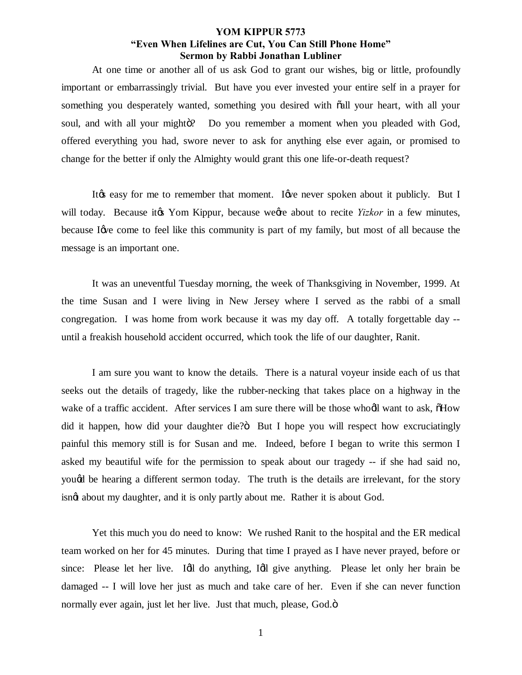At one time or another all of us ask God to grant our wishes, big or little, profoundly important or embarrassingly trivial. But have you ever invested your entire self in a prayer for something you desperately wanted, something you desired with  $\ddot{\alpha}$ ll your heart, with all your soul, and with all your might  $\ddot{o}$ ? Do you remember a moment when you pleaded with God, offered everything you had, swore never to ask for anything else ever again, or promised to change for the better if only the Almighty would grant this one life-or-death request?

It the easy for me to remember that moment. I are never spoken about it publicly. But I will today. Because it *if* Yom Kippur, because we *ge* about to recite *Yizkor* in a few minutes, because I are come to feel like this community is part of my family, but most of all because the message is an important one.

It was an uneventful Tuesday morning, the week of Thanksgiving in November, 1999. At the time Susan and I were living in New Jersey where I served as the rabbi of a small congregation. I was home from work because it was my day off. A totally forgettable day - until a freakish household accident occurred, which took the life of our daughter, Ranit.

I am sure you want to know the details. There is a natural voyeur inside each of us that seeks out the details of tragedy, like the rubber-necking that takes place on a highway in the wake of a traffic accident. After services I am sure there will be those whooll want to ask,  $\delta$ How did it happen, how did your daughter die?" But I hope you will respect how excruciatingly painful this memory still is for Susan and me. Indeed, before I began to write this sermon I asked my beautiful wife for the permission to speak about our tragedy -- if she had said no, yougd be hearing a different sermon today. The truth is the details are irrelevant, for the story isnet about my daughter, and it is only partly about me. Rather it is about God.

Yet this much you do need to know: We rushed Ranit to the hospital and the ER medical team worked on her for 45 minutes. During that time I prayed as I have never prayed, before or since: Please let her live. Idl do anything, Idl give anything. Please let only her brain be damaged -- I will love her just as much and take care of her. Even if she can never function normally ever again, just let her live. Just that much, please, God. $\ddot{o}$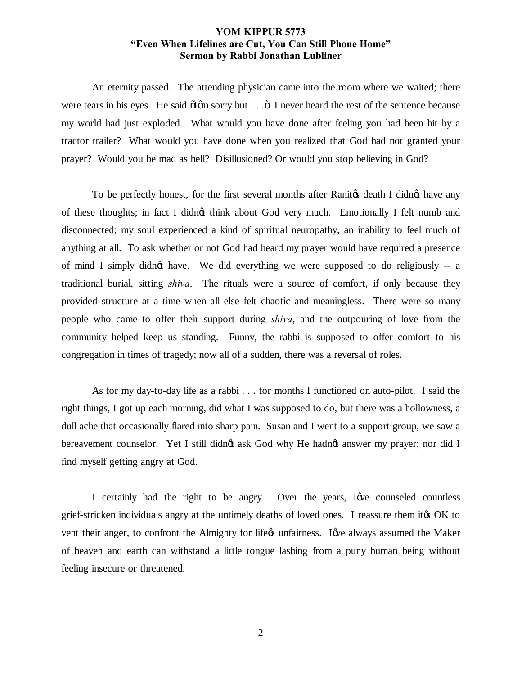An eternity passed. The attending physician came into the room where we waited; there were tears in his eyes. He said  $\delta$ Igm sorry but  $\ldots$   $\delta$  I never heard the rest of the sentence because my world had just exploded. What would you have done after feeling you had been hit by a tractor trailer? What would you have done when you realized that God had not granted your prayer? Would you be mad as hell? Disillusioned? Or would you stop believing in God?

To be perfectly honest, for the first several months after Ranitos death I didnot have any of these thoughts; in fact I didngt think about God very much. Emotionally I felt numb and disconnected; my soul experienced a kind of spiritual neuropathy, an inability to feel much of anything at all. To ask whether or not God had heard my prayer would have required a presence of mind I simply didngt have. We did everything we were supposed to do religiously -- a traditional burial, sitting *shiva*. The rituals were a source of comfort, if only because they provided structure at a time when all else felt chaotic and meaningless. There were so many people who came to offer their support during *shiva*, and the outpouring of love from the community helped keep us standing. Funny, the rabbi is supposed to offer comfort to his congregation in times of tragedy; now all of a sudden, there was a reversal of roles.

As for my day-to-day life as a rabbi . . . for months I functioned on auto-pilot. I said the right things, I got up each morning, did what I was supposed to do, but there was a hollowness, a dull ache that occasionally flared into sharp pain. Susan and I went to a support group, we saw a bereavement counselor. Yet I still didnet ask God why He hadnet answer my prayer; nor did I find myself getting angry at God.

I certainly had the right to be angry. Over the years, I give counseled countless grief-stricken individuals angry at the untimely deaths of loved ones. I reassure them it to OK to vent their anger, to confront the Almighty for lifegs unfairness. Igve always assumed the Maker of heaven and earth can withstand a little tongue lashing from a puny human being without feeling insecure or threatened.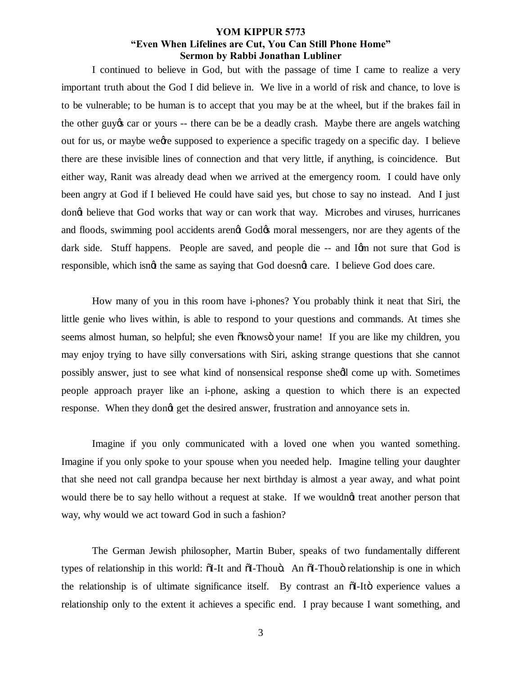I continued to believe in God, but with the passage of time I came to realize a very important truth about the God I did believe in. We live in a world of risk and chance, to love is to be vulnerable; to be human is to accept that you may be at the wheel, but if the brakes fail in the other guy t car or yours -- there can be be a deadly crash. Maybe there are angels watching out for us, or maybe weere supposed to experience a specific tragedy on a specific day. I believe there are these invisible lines of connection and that very little, if anything, is coincidence. But either way, Ranit was already dead when we arrived at the emergency room. I could have only been angry at God if I believed He could have said yes, but chose to say no instead. And I just dong believe that God works that way or can work that way. Microbes and viruses, hurricanes and floods, swimming pool accidents arengt God& moral messengers, nor are they agents of the dark side. Stuff happens. People are saved, and people die -- and Ign not sure that God is responsible, which isngt the same as saying that God doesngt care. I believe God does care.

How many of you in this room have i-phones? You probably think it neat that Siri, the little genie who lives within, is able to respond to your questions and commands. At times she seems almost human, so helpful; she even  $\tilde{\alpha}$ knows $\ddot{\sigma}$  your name! If you are like my children, you may enjoy trying to have silly conversations with Siri, asking strange questions that she cannot possibly answer, just to see what kind of nonsensical response shedl come up with. Sometimes people approach prayer like an i-phone, asking a question to which there is an expected response. When they dong get the desired answer, frustration and annoyance sets in.

Imagine if you only communicated with a loved one when you wanted something. Imagine if you only spoke to your spouse when you needed help. Imagine telling your daughter that she need not call grandpa because her next birthday is almost a year away, and what point would there be to say hello without a request at stake. If we wouldngt treat another person that way, why would we act toward God in such a fashion?

The German Jewish philosopher, Martin Buber, speaks of two fundamentally different types of relationship in this world:  $\delta I$ -It and  $\delta I$ -Thou $\delta$ . An  $\delta I$ -Thou $\delta$  relationship is one in which the relationship is of ultimate significance itself. By contrast an  $\delta I$ -Ito experience values a relationship only to the extent it achieves a specific end. I pray because I want something, and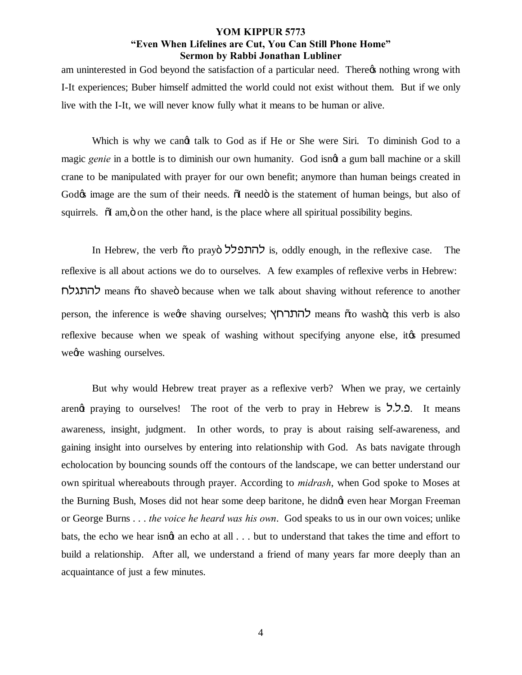am uninterested in God beyond the satisfaction of a particular need. There  $\alpha$  nothing wrong with I-It experiences; Buber himself admitted the world could not exist without them. But if we only live with the I-It, we will never know fully what it means to be human or alive.

Which is why we cand talk to God as if He or She were Siri. To diminish God to a magic *genie* in a bottle is to diminish our own humanity. God isngt a gum ball machine or a skill crane to be manipulated with prayer for our own benefit; anymore than human beings created in God $\alpha$  image are the sum of their needs.  $\ddot{\text{o}}$  need $\ddot{\text{o}}$  is the statement of human beings, but also of squirrels.  $\tilde{\alpha}$  am,  $\ddot{\beta}$  on the other hand, is the place where all spiritual possibility begins.

In Hebrew, the verb õto prayo להתפלל is, oddly enough, in the reflexive case. The reflexive is all about actions we do to ourselves. A few examples of reflexive verbs in Hebrew: glbzdl means "to shave" because when we talk about shaving without reference to another person, the inference is weere shaving ourselves; להתרחץ means oto washo; this verb is also reflexive because when we speak of washing without specifying anyone else, it to presumed we are washing ourselves.

But why would Hebrew treat prayer as a reflexive verb? When we pray, we certainly areng praying to ourselves! The root of the verb to pray in Hebrew is ... It means awareness, insight, judgment. In other words, to pray is about raising self-awareness, and gaining insight into ourselves by entering into relationship with God. As bats navigate through echolocation by bouncing sounds off the contours of the landscape, we can better understand our own spiritual whereabouts through prayer. According to *midrash*, when God spoke to Moses at the Burning Bush, Moses did not hear some deep baritone, he didn't even hear Morgan Freeman or George Burns . . . *the voice he heard was his own*. God speaks to us in our own voices; unlike bats, the echo we hear isnot an echo at all  $\ldots$  but to understand that takes the time and effort to build a relationship. After all, we understand a friend of many years far more deeply than an acquaintance of just a few minutes.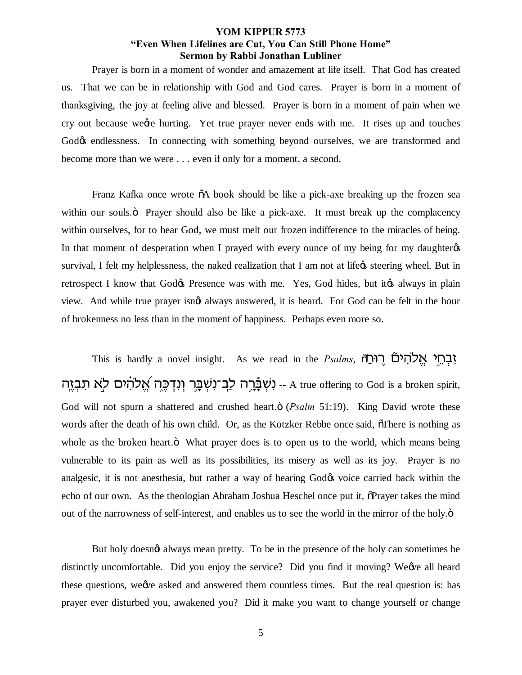Prayer is born in a moment of wonder and amazement at life itself. That God has created us. That we can be in relationship with God and God cares. Prayer is born in a moment of thanksgiving, the joy at feeling alive and blessed. Prayer is born in a moment of pain when we cry out because ween hurting. Yet true prayer never ends with me. It rises up and touches God $\&$  endlessness. In connecting with something beyond ourselves, we are transformed and become more than we were . . . even if only for a moment, a second.

Franz Kafka once wrote  $\delta A$  book should be like a pick-axe breaking up the frozen sea within our souls. The Prayer should also be like a pick-axe. It must break up the complacency within ourselves, for to hear God, we must melt our frozen indifference to the miracles of being. In that moment of desperation when I prayed with every ounce of my being for my daughter  $\alpha$ survival, I felt my helplessness, the naked realization that I am not at life<sub>gs</sub> steering wheel. But in retrospect I know that God $\&\phi$  Presence was with me. Yes, God hides, but it to always in plain view. And while true prayer isn't always answered, it is heard. For God can be felt in the hour of brokenness no less than in the moment of happiness. Perhaps even more so.

This is hardly a novel insight. As we read in the *Psalms*, *וָּבְחֵי אֱלֹהִיםׂ* יִשְׁבָּר וְנִדְכֶּה אֲלֹהִים לָא תִבְזֵה A true offering to God is a broken spirit, God will not spurn a shattered and crushed heart. $\ddot{\text{o}}$  (*Psalm* 51:19). King David wrote these words after the death of his own child. Or, as the Kotzker Rebbe once said,  $\tilde{\sigma}$ There is nothing as whole as the broken heart. $\ddot{o}$  What prayer does is to open us to the world, which means being vulnerable to its pain as well as its possibilities, its misery as well as its joy. Prayer is no analgesic, it is not anesthesia, but rather a way of hearing God $\alpha$  voice carried back within the echo of our own. As the theologian Abraham Joshua Heschel once put it,  $\delta$ Prayer takes the mind out of the narrowness of self-interest, and enables us to see the world in the mirror of the holy. $\ddot{o}$ 

But holy doesnot always mean pretty. To be in the presence of the holy can sometimes be distinctly uncomfortable. Did you enjoy the service? Did you find it moving? We we all heard these questions, we the asked and answered them countless times. But the real question is: has prayer ever disturbed you, awakened you? Did it make you want to change yourself or change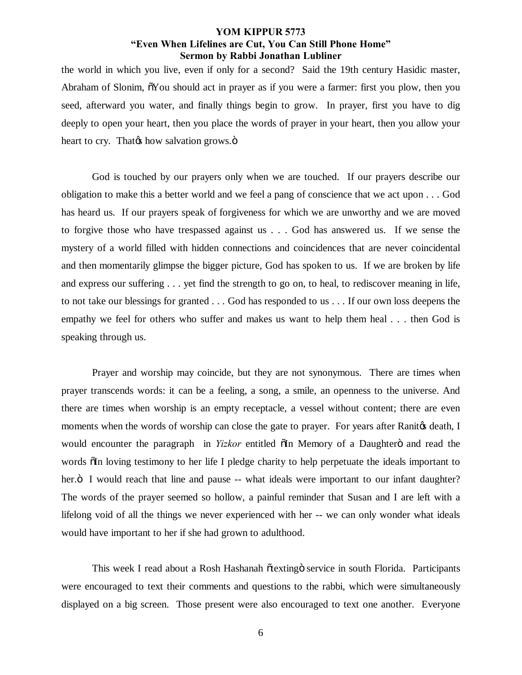the world in which you live, even if only for a second? Said the 19th century Hasidic master, Abraham of Slonim,  $\delta$ You should act in prayer as if you were a farmer: first you plow, then you seed, afterward you water, and finally things begin to grow. In prayer, first you have to dig deeply to open your heart, then you place the words of prayer in your heart, then you allow your heart to cry. That the how salvation grows. $\ddot{\text{o}}$ 

God is touched by our prayers only when we are touched. If our prayers describe our obligation to make this a better world and we feel a pang of conscience that we act upon . . . God has heard us. If our prayers speak of forgiveness for which we are unworthy and we are moved to forgive those who have trespassed against us . . . God has answered us. If we sense the mystery of a world filled with hidden connections and coincidences that are never coincidental and then momentarily glimpse the bigger picture, God has spoken to us. If we are broken by life and express our suffering . . . yet find the strength to go on, to heal, to rediscover meaning in life, to not take our blessings for granted . . . God has responded to us . . . If our own loss deepens the empathy we feel for others who suffer and makes us want to help them heal . . . then God is speaking through us.

Prayer and worship may coincide, but they are not synonymous. There are times when prayer transcends words: it can be a feeling, a song, a smile, an openness to the universe. And there are times when worship is an empty receptacle, a vessel without content; there are even moments when the words of worship can close the gate to prayer. For years after Ranitos death, I would encounter the paragraph in *Yizkor* entitled  $\tilde{o}$ In Memory of a Daughter $\tilde{o}$  and read the words  $\delta$ In loving testimony to her life I pledge charity to help perpetuate the ideals important to her. $\ddot{o}$  I would reach that line and pause -- what ideals were important to our infant daughter? The words of the prayer seemed so hollow, a painful reminder that Susan and I are left with a lifelong void of all the things we never experienced with her -- we can only wonder what ideals would have important to her if she had grown to adulthood.

This week I read about a Rosh Hashanah õtextingö service in south Florida. Participants were encouraged to text their comments and questions to the rabbi, which were simultaneously displayed on a big screen. Those present were also encouraged to text one another. Everyone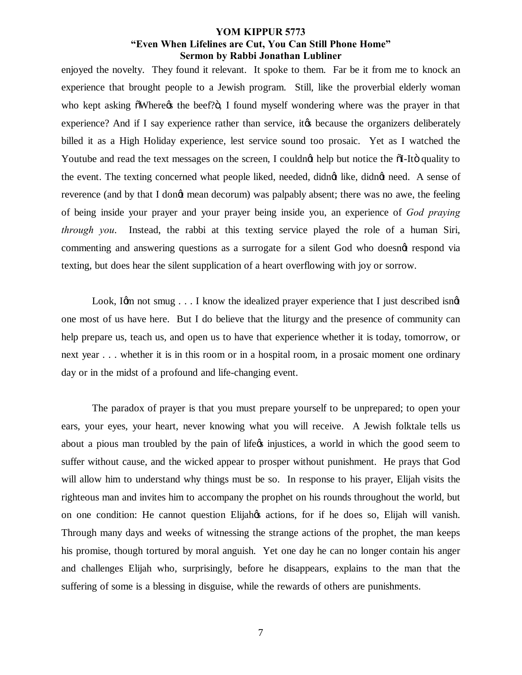enjoyed the novelty. They found it relevant. It spoke to them. Far be it from me to knock an experience that brought people to a Jewish program. Still, like the proverbial elderly woman who kept asking  $\tilde{\text{o}}$ Where $\alpha$  the beef? $\ddot{\text{o}}$ , I found myself wondering where was the prayer in that experience? And if I say experience rather than service, it to because the organizers deliberately billed it as a High Holiday experience, lest service sound too prosaic. Yet as I watched the Youtube and read the text messages on the screen, I couldnot help but notice the  $\delta I$ -Ito quality to the event. The texting concerned what people liked, needed, didngt like, didngt need. A sense of reverence (and by that I dongt mean decorum) was palpably absent; there was no awe, the feeling of being inside your prayer and your prayer being inside you, an experience of *God praying through you*. Instead, the rabbi at this texting service played the role of a human Siri, commenting and answering questions as a surrogate for a silent God who doesnat respond via texting, but does hear the silent supplication of a heart overflowing with joy or sorrow.

Look, I'm not smug  $\ldots$  I know the idealized prayer experience that I just described isnd one most of us have here. But I do believe that the liturgy and the presence of community can help prepare us, teach us, and open us to have that experience whether it is today, tomorrow, or next year . . . whether it is in this room or in a hospital room, in a prosaic moment one ordinary day or in the midst of a profound and life-changing event.

The paradox of prayer is that you must prepare yourself to be unprepared; to open your ears, your eyes, your heart, never knowing what you will receive. A Jewish folktale tells us about a pious man troubled by the pain of life $\alpha$  injustices, a world in which the good seem to suffer without cause, and the wicked appear to prosper without punishment. He prays that God will allow him to understand why things must be so. In response to his prayer, Elijah visits the righteous man and invites him to accompany the prophet on his rounds throughout the world, but on one condition: He cannot question Elijah $\alpha$  actions, for if he does so, Elijah will vanish. Through many days and weeks of witnessing the strange actions of the prophet, the man keeps his promise, though tortured by moral anguish. Yet one day he can no longer contain his anger and challenges Elijah who, surprisingly, before he disappears, explains to the man that the suffering of some is a blessing in disguise, while the rewards of others are punishments.